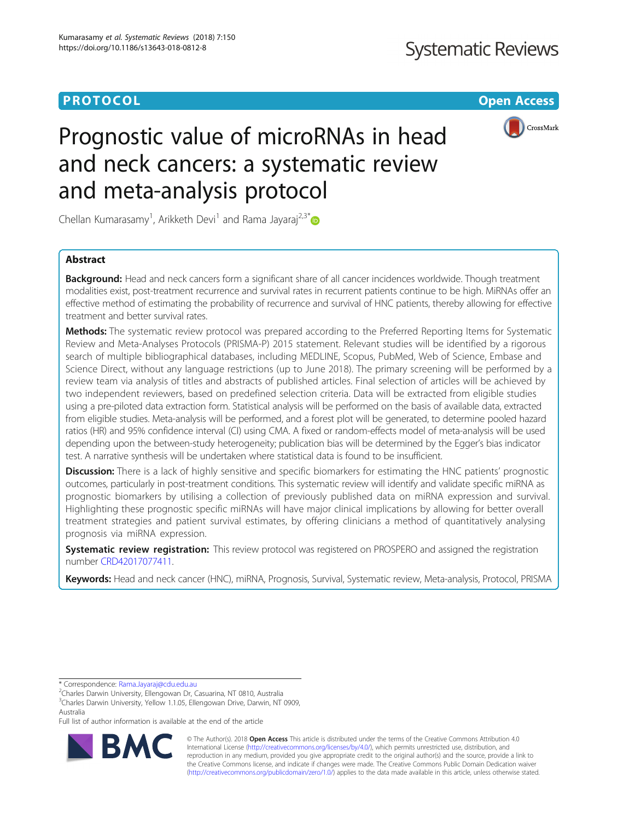# **PROTOCOL CONSUMING THE OPEN ACCESS**



# Prognostic value of microRNAs in head and neck cancers: a systematic review and meta-analysis protocol

Chellan Kumarasamy<sup>1</sup>, Arikketh Devi<sup>1</sup> and Rama Jayaraj<sup>2,3[\\*](http://orcid.org/0000-0002-2179-0510)</sup>

## Abstract

Background: Head and neck cancers form a significant share of all cancer incidences worldwide. Though treatment modalities exist, post-treatment recurrence and survival rates in recurrent patients continue to be high. MiRNAs offer an effective method of estimating the probability of recurrence and survival of HNC patients, thereby allowing for effective treatment and better survival rates.

Methods: The systematic review protocol was prepared according to the Preferred Reporting Items for Systematic Review and Meta-Analyses Protocols (PRISMA-P) 2015 statement. Relevant studies will be identified by a rigorous search of multiple bibliographical databases, including MEDLINE, Scopus, PubMed, Web of Science, Embase and Science Direct, without any language restrictions (up to June 2018). The primary screening will be performed by a review team via analysis of titles and abstracts of published articles. Final selection of articles will be achieved by two independent reviewers, based on predefined selection criteria. Data will be extracted from eligible studies using a pre-piloted data extraction form. Statistical analysis will be performed on the basis of available data, extracted from eligible studies. Meta-analysis will be performed, and a forest plot will be generated, to determine pooled hazard ratios (HR) and 95% confidence interval (CI) using CMA. A fixed or random-effects model of meta-analysis will be used depending upon the between-study heterogeneity; publication bias will be determined by the Egger's bias indicator test. A narrative synthesis will be undertaken where statistical data is found to be insufficient.

Discussion: There is a lack of highly sensitive and specific biomarkers for estimating the HNC patients' prognostic outcomes, particularly in post-treatment conditions. This systematic review will identify and validate specific miRNA as prognostic biomarkers by utilising a collection of previously published data on miRNA expression and survival. Highlighting these prognostic specific miRNAs will have major clinical implications by allowing for better overall treatment strategies and patient survival estimates, by offering clinicians a method of quantitatively analysing prognosis via miRNA expression.

**Systematic review registration:** This review protocol was registered on PROSPERO and assigned the registration number [CRD42017077411.](https://www.crd.york.ac.uk/prospero/display_record.php?RecordID=77411)

Keywords: Head and neck cancer (HNC), miRNA, Prognosis, Survival, Systematic review, Meta-analysis, Protocol, PRISMA

\* Correspondence: [Rama.Jayaraj@cdu.edu.au](mailto:Rama.Jayaraj@cdu.edu.au) <sup>2</sup>

<sup>2</sup>Charles Darwin University, Ellengowan Dr, Casuarina, NT 0810, Australia <sup>3</sup>Charles Darwin University, Yellow 1.1.05, Ellengowan Drive, Darwin, NT 0909, Australia

Full list of author information is available at the end of the article



© The Author(s). 2018 Open Access This article is distributed under the terms of the Creative Commons Attribution 4.0 International License [\(http://creativecommons.org/licenses/by/4.0/](http://creativecommons.org/licenses/by/4.0/)), which permits unrestricted use, distribution, and reproduction in any medium, provided you give appropriate credit to the original author(s) and the source, provide a link to the Creative Commons license, and indicate if changes were made. The Creative Commons Public Domain Dedication waiver [\(http://creativecommons.org/publicdomain/zero/1.0/](http://creativecommons.org/publicdomain/zero/1.0/)) applies to the data made available in this article, unless otherwise stated.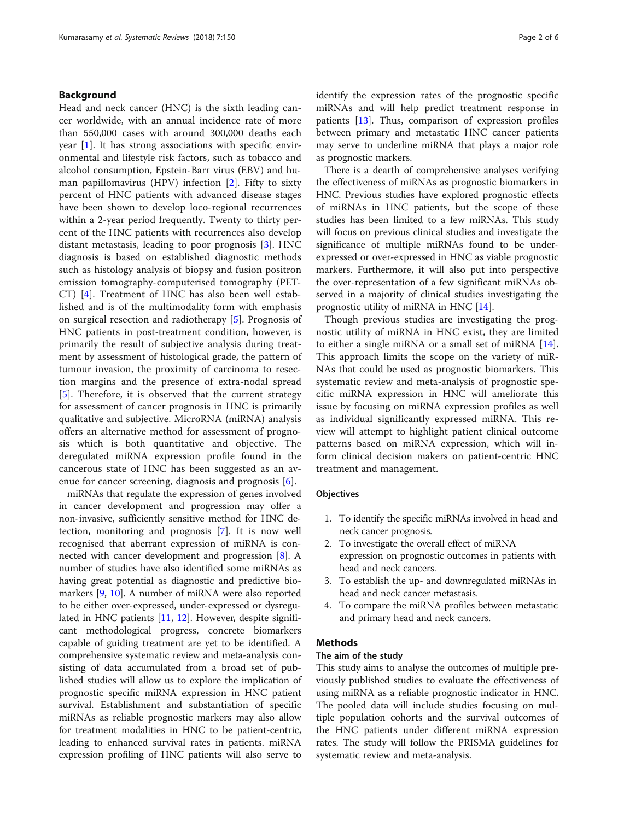## Background

Head and neck cancer (HNC) is the sixth leading cancer worldwide, with an annual incidence rate of more than 550,000 cases with around 300,000 deaths each year [\[1](#page-5-0)]. It has strong associations with specific environmental and lifestyle risk factors, such as tobacco and alcohol consumption, Epstein-Barr virus (EBV) and human papillomavirus (HPV) infection [[2\]](#page-5-0). Fifty to sixty percent of HNC patients with advanced disease stages have been shown to develop loco-regional recurrences within a 2-year period frequently. Twenty to thirty percent of the HNC patients with recurrences also develop distant metastasis, leading to poor prognosis [\[3](#page-5-0)]. HNC diagnosis is based on established diagnostic methods such as histology analysis of biopsy and fusion positron emission tomography-computerised tomography (PET-CT) [[4](#page-5-0)]. Treatment of HNC has also been well established and is of the multimodality form with emphasis on surgical resection and radiotherapy [[5\]](#page-5-0). Prognosis of HNC patients in post-treatment condition, however, is primarily the result of subjective analysis during treatment by assessment of histological grade, the pattern of tumour invasion, the proximity of carcinoma to resection margins and the presence of extra-nodal spread [[5\]](#page-5-0). Therefore, it is observed that the current strategy for assessment of cancer prognosis in HNC is primarily qualitative and subjective. MicroRNA (miRNA) analysis offers an alternative method for assessment of prognosis which is both quantitative and objective. The deregulated miRNA expression profile found in the cancerous state of HNC has been suggested as an avenue for cancer screening, diagnosis and prognosis [\[6](#page-5-0)].

miRNAs that regulate the expression of genes involved in cancer development and progression may offer a non-invasive, sufficiently sensitive method for HNC detection, monitoring and prognosis [\[7](#page-5-0)]. It is now well recognised that aberrant expression of miRNA is connected with cancer development and progression [[8](#page-5-0)]. A number of studies have also identified some miRNAs as having great potential as diagnostic and predictive biomarkers [[9,](#page-5-0) [10\]](#page-5-0). A number of miRNA were also reported to be either over-expressed, under-expressed or dysregulated in HNC patients [\[11,](#page-5-0) [12](#page-5-0)]. However, despite significant methodological progress, concrete biomarkers capable of guiding treatment are yet to be identified. A comprehensive systematic review and meta-analysis consisting of data accumulated from a broad set of published studies will allow us to explore the implication of prognostic specific miRNA expression in HNC patient survival. Establishment and substantiation of specific miRNAs as reliable prognostic markers may also allow for treatment modalities in HNC to be patient-centric, leading to enhanced survival rates in patients. miRNA expression profiling of HNC patients will also serve to identify the expression rates of the prognostic specific miRNAs and will help predict treatment response in patients [\[13](#page-5-0)]. Thus, comparison of expression profiles between primary and metastatic HNC cancer patients may serve to underline miRNA that plays a major role as prognostic markers.

There is a dearth of comprehensive analyses verifying the effectiveness of miRNAs as prognostic biomarkers in HNC. Previous studies have explored prognostic effects of miRNAs in HNC patients, but the scope of these studies has been limited to a few miRNAs. This study will focus on previous clinical studies and investigate the significance of multiple miRNAs found to be underexpressed or over-expressed in HNC as viable prognostic markers. Furthermore, it will also put into perspective the over-representation of a few significant miRNAs observed in a majority of clinical studies investigating the prognostic utility of miRNA in HNC [\[14](#page-5-0)].

Though previous studies are investigating the prognostic utility of miRNA in HNC exist, they are limited to either a single miRNA or a small set of miRNA [\[14](#page-5-0)]. This approach limits the scope on the variety of miR-NAs that could be used as prognostic biomarkers. This systematic review and meta-analysis of prognostic specific miRNA expression in HNC will ameliorate this issue by focusing on miRNA expression profiles as well as individual significantly expressed miRNA. This review will attempt to highlight patient clinical outcome patterns based on miRNA expression, which will inform clinical decision makers on patient-centric HNC treatment and management.

#### **Objectives**

- 1. To identify the specific miRNAs involved in head and neck cancer prognosis.
- 2. To investigate the overall effect of miRNA expression on prognostic outcomes in patients with head and neck cancers.
- 3. To establish the up- and downregulated miRNAs in head and neck cancer metastasis.
- 4. To compare the miRNA profiles between metastatic and primary head and neck cancers.

### Methods

#### The aim of the study

This study aims to analyse the outcomes of multiple previously published studies to evaluate the effectiveness of using miRNA as a reliable prognostic indicator in HNC. The pooled data will include studies focusing on multiple population cohorts and the survival outcomes of the HNC patients under different miRNA expression rates. The study will follow the PRISMA guidelines for systematic review and meta-analysis.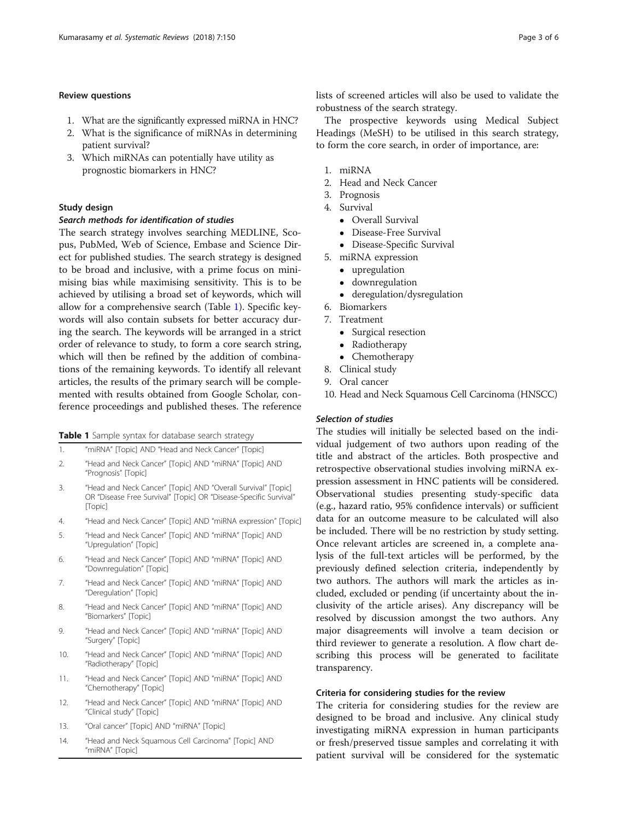### Review questions

- 1. What are the significantly expressed miRNA in HNC?
- 2. What is the significance of miRNAs in determining patient survival?
- 3. Which miRNAs can potentially have utility as prognostic biomarkers in HNC?

## Study design

### Search methods for identification of studies

The search strategy involves searching MEDLINE, Scopus, PubMed, Web of Science, Embase and Science Direct for published studies. The search strategy is designed to be broad and inclusive, with a prime focus on minimising bias while maximising sensitivity. This is to be achieved by utilising a broad set of keywords, which will allow for a comprehensive search (Table 1). Specific keywords will also contain subsets for better accuracy during the search. The keywords will be arranged in a strict order of relevance to study, to form a core search string, which will then be refined by the addition of combinations of the remaining keywords. To identify all relevant articles, the results of the primary search will be complemented with results obtained from Google Scholar, conference proceedings and published theses. The reference

Table 1 Sample syntax for database search strategy

|  |  | "miRNA" [Topic] AND "Head and Neck Cancer" [Topic] |  |  |  |  |
|--|--|----------------------------------------------------|--|--|--|--|
|--|--|----------------------------------------------------|--|--|--|--|

- 2. "Head and Neck Cancer" [Topic] AND "miRNA" [Topic] AND "Prognosis" [Topic]
- 3. "Head and Neck Cancer" [Topic] AND "Overall Survival" [Topic] OR "Disease Free Survival" [Topic] OR "Disease-Specific Survival" [Topic]
- 4. "Head and Neck Cancer" [Topic] AND "miRNA expression" [Topic]
- 5. "Head and Neck Cancer" [Topic] AND "miRNA" [Topic] AND "Upregulation" [Topic]
- 6. "Head and Neck Cancer" [Topic] AND "miRNA" [Topic] AND "Downregulation" [Topic]
- 7. "Head and Neck Cancer" [Topic] AND "miRNA" [Topic] AND "Deregulation" [Topic]
- 8. "Head and Neck Cancer" [Topic] AND "miRNA" [Topic] AND "Biomarkers" [Topic]
- 9. "Head and Neck Cancer" [Topic] AND "miRNA" [Topic] AND "Surgery" [Topic]
- 10. "Head and Neck Cancer" [Topic] AND "miRNA" [Topic] AND "Radiotherapy" [Topic]
- 11. "Head and Neck Cancer" [Topic] AND "miRNA" [Topic] AND "Chemotherapy" [Topic]
- 12. "Head and Neck Cancer" [Topic] AND "miRNA" [Topic] AND "Clinical study" [Topic]
- 13. "Oral cancer" [Topic] AND "miRNA" [Topic]
- 14. "Head and Neck Squamous Cell Carcinoma" [Topic] AND "miRNA" [Topic]

lists of screened articles will also be used to validate the robustness of the search strategy.

The prospective keywords using Medical Subject Headings (MeSH) to be utilised in this search strategy, to form the core search, in order of importance, are:

- 1. miRNA
- 2. Head and Neck Cancer
- 3. Prognosis
- 4. Survival
	- Overall Survival
	- Disease-Free Survival
	- Disease-Specific Survival
- 5. miRNA expression
	- upregulation
	- downregulation
	- deregulation/dysregulation
- 6. Biomarkers
- 7. Treatment
	- Surgical resection
	- Radiotherapy
	- Chemotherapy
- 8. Clinical study
- 9. Oral cancer
- 10. Head and Neck Squamous Cell Carcinoma (HNSCC)

## Selection of studies

The studies will initially be selected based on the individual judgement of two authors upon reading of the title and abstract of the articles. Both prospective and retrospective observational studies involving miRNA expression assessment in HNC patients will be considered. Observational studies presenting study-specific data (e.g., hazard ratio, 95% confidence intervals) or sufficient data for an outcome measure to be calculated will also be included. There will be no restriction by study setting. Once relevant articles are screened in, a complete analysis of the full-text articles will be performed, by the previously defined selection criteria, independently by two authors. The authors will mark the articles as included, excluded or pending (if uncertainty about the inclusivity of the article arises). Any discrepancy will be resolved by discussion amongst the two authors. Any major disagreements will involve a team decision or third reviewer to generate a resolution. A flow chart describing this process will be generated to facilitate transparency.

#### Criteria for considering studies for the review

The criteria for considering studies for the review are designed to be broad and inclusive. Any clinical study investigating miRNA expression in human participants or fresh/preserved tissue samples and correlating it with patient survival will be considered for the systematic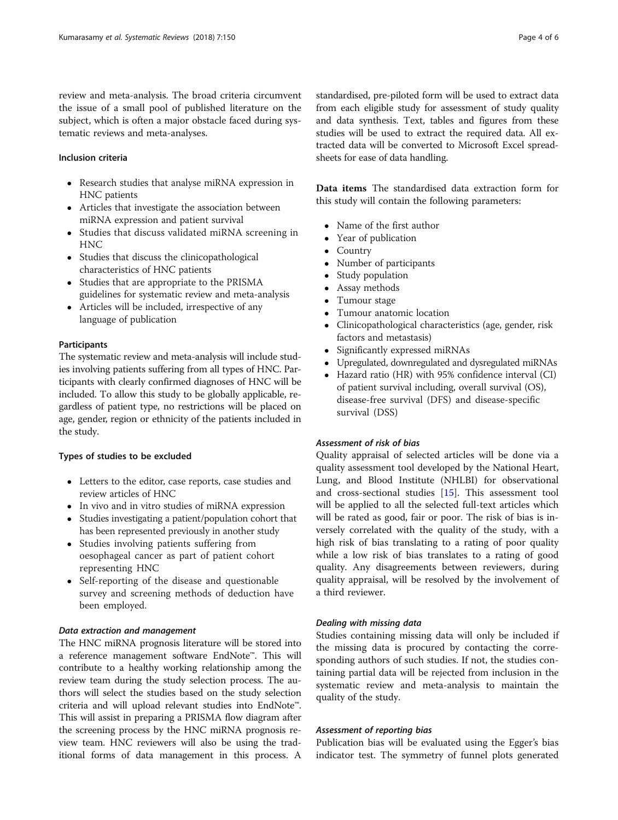review and meta-analysis. The broad criteria circumvent the issue of a small pool of published literature on the subject, which is often a major obstacle faced during systematic reviews and meta-analyses.

## Inclusion criteria

- Research studies that analyse miRNA expression in HNC patients
- Articles that investigate the association between miRNA expression and patient survival
- Studies that discuss validated miRNA screening in HNC
- Studies that discuss the clinicopathological characteristics of HNC patients
- Studies that are appropriate to the PRISMA guidelines for systematic review and meta-analysis
- Articles will be included, irrespective of any language of publication

## **Participants**

The systematic review and meta-analysis will include studies involving patients suffering from all types of HNC. Participants with clearly confirmed diagnoses of HNC will be included. To allow this study to be globally applicable, regardless of patient type, no restrictions will be placed on age, gender, region or ethnicity of the patients included in the study.

#### Types of studies to be excluded

- Letters to the editor, case reports, case studies and review articles of HNC
- In vivo and in vitro studies of miRNA expression
- Studies investigating a patient/population cohort that has been represented previously in another study
- Studies involving patients suffering from oesophageal cancer as part of patient cohort representing HNC
- Self-reporting of the disease and questionable survey and screening methods of deduction have been employed.

#### Data extraction and management

The HNC miRNA prognosis literature will be stored into a reference management software EndNote™. This will contribute to a healthy working relationship among the review team during the study selection process. The authors will select the studies based on the study selection criteria and will upload relevant studies into EndNote™. This will assist in preparing a PRISMA flow diagram after the screening process by the HNC miRNA prognosis review team. HNC reviewers will also be using the traditional forms of data management in this process. A standardised, pre-piloted form will be used to extract data from each eligible study for assessment of study quality and data synthesis. Text, tables and figures from these studies will be used to extract the required data. All extracted data will be converted to Microsoft Excel spreadsheets for ease of data handling.

Data items The standardised data extraction form for this study will contain the following parameters:

- Name of the first author
- Year of publication
- Country
- Number of participants<br>• Study population
- Study population
- Assay methods
- Tumour stage
- Tumour anatomic location<br>• Clinicopathological charact
- Clinicopathological characteristics (age, gender, risk factors and metastasis)
- Significantly expressed miRNAs
- Upregulated, downregulated and dysregulated miRNAs
- Hazard ratio (HR) with 95% confidence interval (CI) of patient survival including, overall survival (OS), disease-free survival (DFS) and disease-specific survival (DSS)

## Assessment of risk of bias

Quality appraisal of selected articles will be done via a quality assessment tool developed by the National Heart, Lung, and Blood Institute (NHLBI) for observational and cross-sectional studies [[15\]](#page-5-0). This assessment tool will be applied to all the selected full-text articles which will be rated as good, fair or poor. The risk of bias is inversely correlated with the quality of the study, with a high risk of bias translating to a rating of poor quality while a low risk of bias translates to a rating of good quality. Any disagreements between reviewers, during quality appraisal, will be resolved by the involvement of a third reviewer.

#### Dealing with missing data

Studies containing missing data will only be included if the missing data is procured by contacting the corresponding authors of such studies. If not, the studies containing partial data will be rejected from inclusion in the systematic review and meta-analysis to maintain the quality of the study.

#### Assessment of reporting bias

Publication bias will be evaluated using the Egger's bias indicator test. The symmetry of funnel plots generated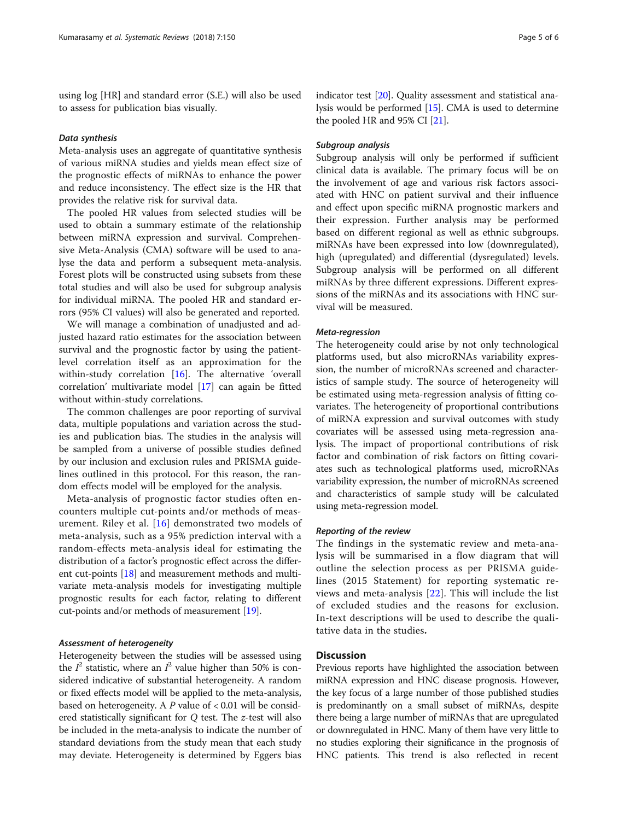using log [HR] and standard error (S.E.) will also be used to assess for publication bias visually.

#### Data synthesis

Meta-analysis uses an aggregate of quantitative synthesis of various miRNA studies and yields mean effect size of the prognostic effects of miRNAs to enhance the power and reduce inconsistency. The effect size is the HR that provides the relative risk for survival data.

The pooled HR values from selected studies will be used to obtain a summary estimate of the relationship between miRNA expression and survival. Comprehensive Meta-Analysis (CMA) software will be used to analyse the data and perform a subsequent meta-analysis. Forest plots will be constructed using subsets from these total studies and will also be used for subgroup analysis for individual miRNA. The pooled HR and standard errors (95% CI values) will also be generated and reported.

We will manage a combination of unadjusted and adjusted hazard ratio estimates for the association between survival and the prognostic factor by using the patientlevel correlation itself as an approximation for the within-study correlation [\[16](#page-5-0)]. The alternative 'overall correlation' multivariate model [[17](#page-5-0)] can again be fitted without within-study correlations.

The common challenges are poor reporting of survival data, multiple populations and variation across the studies and publication bias. The studies in the analysis will be sampled from a universe of possible studies defined by our inclusion and exclusion rules and PRISMA guidelines outlined in this protocol. For this reason, the random effects model will be employed for the analysis.

Meta-analysis of prognostic factor studies often encounters multiple cut-points and/or methods of measurement. Riley et al. [[16\]](#page-5-0) demonstrated two models of meta-analysis, such as a 95% prediction interval with a random-effects meta-analysis ideal for estimating the distribution of a factor's prognostic effect across the different cut-points [\[18\]](#page-5-0) and measurement methods and multivariate meta-analysis models for investigating multiple prognostic results for each factor, relating to different cut-points and/or methods of measurement [\[19](#page-5-0)].

## Assessment of heterogeneity

Heterogeneity between the studies will be assessed using the  $I^2$  statistic, where an  $I^2$  value higher than 50% is considered indicative of substantial heterogeneity. A random or fixed effects model will be applied to the meta-analysis, based on heterogeneity. A  $P$  value of  $< 0.01$  will be considered statistically significant for Q test. The z-test will also be included in the meta-analysis to indicate the number of standard deviations from the study mean that each study may deviate. Heterogeneity is determined by Eggers bias

indicator test [\[20\]](#page-5-0). Quality assessment and statistical analysis would be performed [[15](#page-5-0)]. CMA is used to determine the pooled HR and 95% CI [[21](#page-5-0)].

#### Subgroup analysis

Subgroup analysis will only be performed if sufficient clinical data is available. The primary focus will be on the involvement of age and various risk factors associated with HNC on patient survival and their influence and effect upon specific miRNA prognostic markers and their expression. Further analysis may be performed based on different regional as well as ethnic subgroups. miRNAs have been expressed into low (downregulated), high (upregulated) and differential (dysregulated) levels. Subgroup analysis will be performed on all different miRNAs by three different expressions. Different expressions of the miRNAs and its associations with HNC survival will be measured.

#### Meta-regression

The heterogeneity could arise by not only technological platforms used, but also microRNAs variability expression, the number of microRNAs screened and characteristics of sample study. The source of heterogeneity will be estimated using meta-regression analysis of fitting covariates. The heterogeneity of proportional contributions of miRNA expression and survival outcomes with study covariates will be assessed using meta-regression analysis. The impact of proportional contributions of risk factor and combination of risk factors on fitting covariates such as technological platforms used, microRNAs variability expression, the number of microRNAs screened and characteristics of sample study will be calculated using meta-regression model.

#### Reporting of the review

The findings in the systematic review and meta-analysis will be summarised in a flow diagram that will outline the selection process as per PRISMA guidelines (2015 Statement) for reporting systematic reviews and meta-analysis [\[22\]](#page-5-0). This will include the list of excluded studies and the reasons for exclusion. In-text descriptions will be used to describe the qualitative data in the studies.

### **Discussion**

Previous reports have highlighted the association between miRNA expression and HNC disease prognosis. However, the key focus of a large number of those published studies is predominantly on a small subset of miRNAs, despite there being a large number of miRNAs that are upregulated or downregulated in HNC. Many of them have very little to no studies exploring their significance in the prognosis of HNC patients. This trend is also reflected in recent